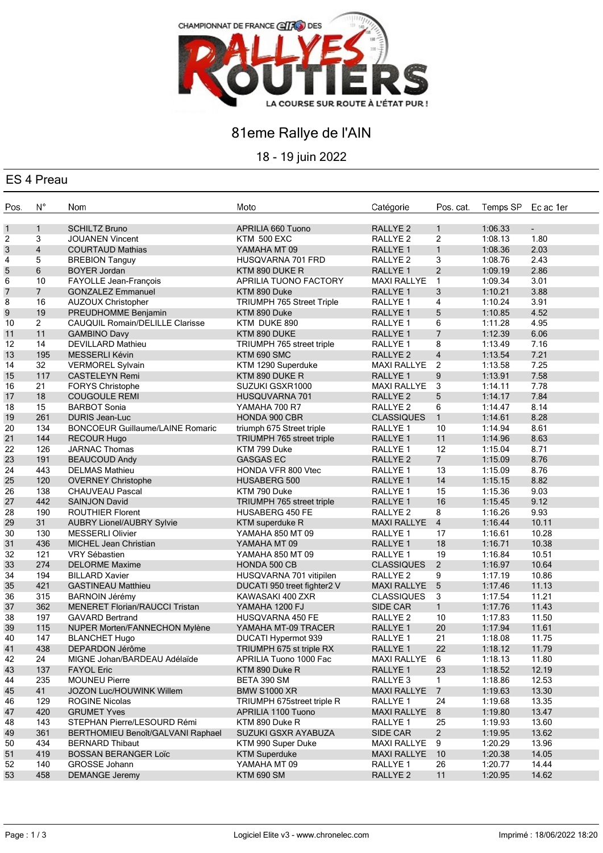

# 81eme Rallye de l'AIN

18 - 19 juin 2022

#### ES 4 Preau

| Pos.           | $N^{\circ}$     | Nom                                        | Moto                        | Catégorie           | Pos. cat.      | Temps SP           | Ec ac 1er           |
|----------------|-----------------|--------------------------------------------|-----------------------------|---------------------|----------------|--------------------|---------------------|
| 1              | $\mathbf{1}$    | <b>SCHILTZ Bruno</b>                       | APRILIA 660 Tuono           | RALLYE <sub>2</sub> | $\mathbf{1}$   | 1:06.33            | $\mathcal{L}^{\pm}$ |
| 2              | 3               | <b>JOUANEN Vincent</b>                     | <b>KTM 500 EXC</b>          | RALLYE <sub>2</sub> | $\overline{c}$ | 1:08.13            | 1.80                |
| 3              | $\overline{4}$  | <b>COURTAUD Mathias</b>                    | YAMAHA MT 09                | RALLYE 1            | $\mathbf{1}$   | 1:08.36            | 2.03                |
| 4              | 5               | <b>BREBION Tanguy</b>                      | HUSQVARNA 701 FRD           | RALLYE <sub>2</sub> | 3              | 1:08.76            | 2.43                |
| 5              | 6               | <b>BOYER Jordan</b>                        | KTM 890 DUKE R              | RALLYE <sub>1</sub> | $\overline{2}$ | 1:09.19            | 2.86                |
| 6              | 10              | FAYOLLE Jean-François                      | APRILIA TUONO FACTORY       | <b>MAXI RALLYE</b>  | $\mathbf{1}$   | 1:09.34            | 3.01                |
| $\overline{7}$ | $7\overline{ }$ | <b>GONZALEZ Emmanuel</b>                   | KTM 890 Duke                | RALLYE 1            | 3              | 1:10.21            | 3.88                |
| 8              | 16              | <b>AUZOUX Christopher</b>                  | TRIUMPH 765 Street Triple   | RALLYE 1            | 4              | 1:10.24            | 3.91                |
| 9              | 19              | PREUDHOMME Benjamin                        | KTM 890 Duke                | RALLYE <sub>1</sub> | 5              | 1:10.85            | 4.52                |
| 10             | $\overline{2}$  | CAUQUIL Romain/DELILLE Clarisse            | KTM DUKE 890                | RALLYE <sub>1</sub> | 6              | 1:11.28            | 4.95                |
| 11             | 11              | <b>GAMBINO Davy</b>                        | KTM 890 DUKE                | RALLYE <sub>1</sub> | $\overline{7}$ | 1:12.39            | 6.06                |
| 12             | 14              | <b>DEVILLARD Mathieu</b>                   | TRIUMPH 765 street triple   | RALLYE 1            | 8              | 1:13.49            | 7.16                |
| 13             | 195             | <b>MESSERLI Kévin</b>                      | KTM 690 SMC                 | <b>RALLYE 2</b>     | $\overline{4}$ | 1:13.54            | 7.21                |
| 14             | 32              | <b>VERMOREL Sylvain</b>                    | KTM 1290 Superduke          | <b>MAXI RALLYE</b>  | $\overline{2}$ | 1:13.58            | 7.25                |
| 15             | 117             | <b>CASTELEYN Remi</b>                      | KTM 890 DUKE R              | RALLYE <sub>1</sub> | 9              | 1:13.91            | 7.58                |
| 16             | 21              | <b>FORYS Christophe</b>                    | SUZUKI GSXR1000             | <b>MAXI RALLYE</b>  | 3              | 1:14.11            | 7.78                |
| 17             | 18              | <b>COUGOULE REMI</b>                       | HUSQUVARNA 701              | RALLYE <sub>2</sub> | 5              | 1:14.17            | 7.84                |
| 18             | 15              | <b>BARBOT Sonia</b>                        | YAMAHA 700 R7               | RALLYE <sub>2</sub> | 6              | 1:14.47            | 8.14                |
| 19             | 261             | <b>DURIS Jean-Luc</b>                      | <b>HONDA 900 CBR</b>        | <b>CLASSIQUES</b>   | $\mathbf{1}$   | 1:14.61            | 8.28                |
|                | 134             | <b>BONCOEUR Guillaume/LAINE Romaric</b>    | triumph 675 Street triple   | RALLYE <sub>1</sub> | 10             | 1:14.94            | 8.61                |
| 20             |                 |                                            |                             | RALLYE 1            | 11             |                    | 8.63                |
| 21             | 144<br>126      | <b>RECOUR Hugo</b><br><b>JARNAC Thomas</b> | TRIUMPH 765 street triple   | RALLYE 1            | 12             | 1:14.96<br>1:15.04 | 8.71                |
| 22             |                 |                                            | KTM 799 Duke                |                     | 7 <sup>7</sup> |                    |                     |
| 23             | 191             | <b>BEAUCOUD Andy</b>                       | <b>GASGAS EC</b>            | <b>RALLYE 2</b>     |                | 1:15.09            | 8.76                |
| 24             | 443             | <b>DELMAS Mathieu</b>                      | HONDA VFR 800 Vtec          | RALLYE 1            | 13             | 1:15.09            | 8.76                |
| 25             | 120             | <b>OVERNEY Christophe</b>                  | HUSABERG 500                | RALLYE 1            | 14             | 1:15.15            | 8.82                |
| 26             | 138             | <b>CHAUVEAU Pascal</b>                     | KTM 790 Duke                | RALLYE 1            | 15             | 1:15.36            | 9.03                |
| 27             | 442             | <b>SAINJON David</b>                       | TRIUMPH 765 street triple   | RALLYE 1            | 16             | 1:15.45            | 9.12                |
| 28             | 190             | <b>ROUTHIER Florent</b>                    | <b>HUSABERG 450 FE</b>      | RALLYE <sub>2</sub> | 8              | 1:16.26            | 9.93                |
| 29             | 31              | <b>AUBRY Lionel/AUBRY Sylvie</b>           | KTM superduke R             | <b>MAXI RALLYE</b>  | $\overline{4}$ | 1:16.44            | 10.11               |
| 30             | 130             | <b>MESSERLI Olivier</b>                    | YAMAHA 850 MT 09            | RALLYE 1            | 17             | 1:16.61            | 10.28               |
| 31             | 436             | MICHEL Jean Christian                      | YAMAHA MT 09                | RALLYE 1            | 18             | 1:16.71            | 10.38               |
| 32             | 121             | <b>VRY Sébastien</b>                       | YAMAHA 850 MT 09            | RALLYE 1            | 19             | 1:16.84            | 10.51               |
| 33             | 274             | <b>DELORME Maxime</b>                      | HONDA 500 CB                | <b>CLASSIQUES</b>   | $\overline{2}$ | 1:16.97            | 10.64               |
| 34             | 194             | <b>BILLARD Xavier</b>                      | HUSQVARNA 701 vitipilen     | RALLYE <sub>2</sub> | 9              | 1:17.19            | 10.86               |
| 35             | 421             | <b>GASTINEAU Matthieu</b>                  | DUCATI 950 treet fighter2 V | <b>MAXI RALLYE</b>  | 5              | 1:17.46            | 11.13               |
| 36             | 315             | <b>BARNOIN Jérémy</b>                      | KAWASAKI 400 ZXR            | <b>CLASSIQUES</b>   | 3              | 1:17.54            | 11.21               |
| 37             | 362             | <b>MENERET Florian/RAUCCI Tristan</b>      | YAMAHA 1200 FJ              | SIDE CAR            | $\mathbf{1}$   | 1:17.76            | 11.43               |
| 38             | 197             | <b>GAVARD Bertrand</b>                     | HUSQVARNA 450 FE            | RALLYE <sub>2</sub> | 10             | 1:17.83            | 11.50               |
| 39             | 115             | NUPER Morten/FANNECHON Mylène              | YAMAHA MT-09 TRACER         | RALLYE 1            | 20             | 1:17.94            | 11.61               |
| 40             | 147             | <b>BLANCHET Hugo</b>                       | <b>DUCATI Hypermot 939</b>  | RALLYE 1            | 21             | 1:18.08            | 11.75               |
| 41             | 438             | DEPARDON Jérôme                            | TRIUMPH 675 st triple RX    | RALLYE 1            | 22             | 1:18.12            | 11.79               |
| 42             | 24              | MIGNE Johan/BARDEAU Adélaïde               | APRILIA Tuono 1000 Fac      | MAXI RALLYE 6       |                | 1:18.13            | 11.80               |
| 43             | 137             | <b>FAYOL Eric</b>                          | KTM 890 Duke R              | RALLYE 1            | 23             | 1:18.52            | 12.19               |
| 44             | 235             | <b>MOUNEU Pierre</b>                       | BETA 390 SM                 | RALLYE 3            | $\mathbf{1}$   | 1:18.86            | 12.53               |
| 45             | 41              | JOZON Luc/HOUWINK Willem                   | <b>BMW S1000 XR</b>         | <b>MAXI RALLYE</b>  | $\overline{7}$ | 1:19.63            | 13.30               |
| 46             | 129             | <b>ROGINE Nicolas</b>                      | TRIUMPH 675street triple R  | RALLYE 1            | 24             | 1:19.68            | 13.35               |
| 47             | 420             | <b>GRUMET Yves</b>                         | APRILIA 1100 Tuono          | <b>MAXI RALLYE</b>  | 8              | 1:19.80            | 13.47               |
| 48             | 143             | STEPHAN Pierre/LESOURD Rémi                | KTM 890 Duke R              | RALLYE 1            | 25             | 1:19.93            | 13.60               |
| 49             | 361             | BERTHOMIEU Benoît/GALVANI Raphael          | SUZUKI GSXR AYABUZA         | SIDE CAR            | $\overline{2}$ | 1:19.95            | 13.62               |
| 50             | 434             | <b>BERNARD Thibaut</b>                     | KTM 990 Super Duke          | <b>MAXI RALLYE</b>  | 9              | 1:20.29            | 13.96               |
| 51             | 419             | <b>BOSSAN BERANGER Loïc</b>                | <b>KTM Superduke</b>        | <b>MAXI RALLYE</b>  | 10             | 1:20.38            | 14.05               |
| 52             | 140             | <b>GROSSE Johann</b>                       | YAMAHA MT 09                | RALLYE <sub>1</sub> | 26             | 1:20.77            | 14.44               |
| 53             | 458             | <b>DEMANGE Jeremy</b>                      | <b>KTM 690 SM</b>           | RALLYE <sub>2</sub> | 11             | 1:20.95            | 14.62               |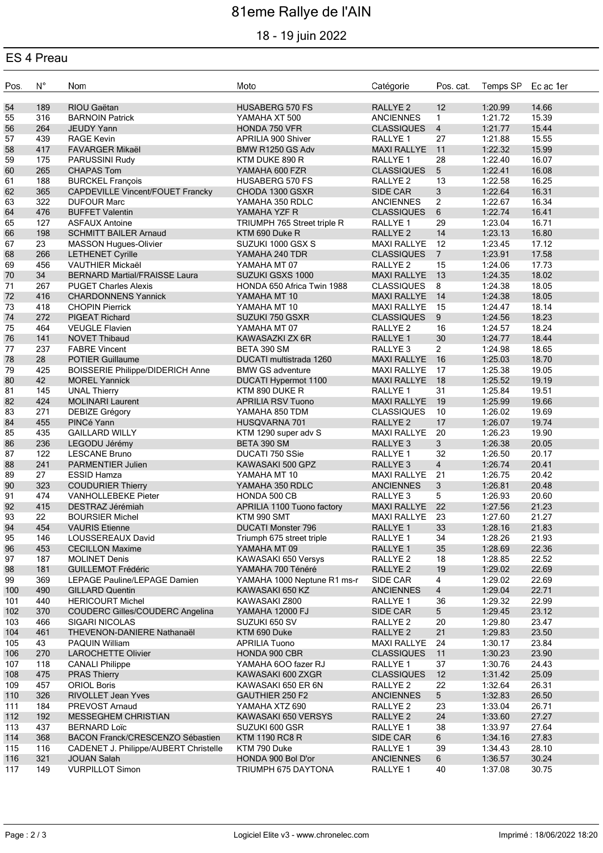# 81eme Rallye de l'AIN

## 18 - 19 juin 2022

## ES 4 Preau

| Pos. | $\mathsf{N}^\circ$ | Nom                                     | Moto                        | Catégorie           | Pos. cat.       | Temps SP Ec ac 1er |       |
|------|--------------------|-----------------------------------------|-----------------------------|---------------------|-----------------|--------------------|-------|
| 54   | 189                | RIOU Gaëtan                             | <b>HUSABERG 570 FS</b>      | RALLYE <sub>2</sub> | 12              | 1:20.99            | 14.66 |
| 55   | 316                | <b>BARNOIN Patrick</b>                  | YAMAHA XT 500               | <b>ANCIENNES</b>    | $\mathbf{1}$    | 1:21.72            | 15.39 |
| 56   | 264                | <b>JEUDY Yann</b>                       | HONDA 750 VFR               | <b>CLASSIQUES</b>   | $\overline{4}$  | 1:21.77            | 15.44 |
| 57   | 439                | <b>RAGE Kevin</b>                       | APRILIA 900 Shiver          | RALLYE 1            | 27              | 1:21.88            | 15.55 |
| 58   | 417                | <b>FAVARGER Mikaël</b>                  | BMW R1250 GS Adv            | <b>MAXI RALLYE</b>  | $-11$           | 1:22.32            | 15.99 |
| 59   | 175                | PARUSSINI Rudy                          | KTM DUKE 890 R              | RALLYE <sub>1</sub> | 28              | 1:22.40            | 16.07 |
| 60   | 265                | <b>CHAPAS Tom</b>                       | YAMAHA 600 FZR              | <b>CLASSIQUES</b>   | 5               | 1:22.41            | 16.08 |
| 61   | 188                | <b>BURCKEL François</b>                 | <b>HUSABERG 570 FS</b>      | RALLYE <sub>2</sub> | 13              | 1:22.58            | 16.25 |
| 62   | 365                | <b>CAPDEVILLE Vincent/FOUET Francky</b> | CHODA 1300 GSXR             | <b>SIDE CAR</b>     | $\mathbf{3}$    | 1:22.64            | 16.31 |
| 63   | 322                | <b>DUFOUR Marc</b>                      | YAMAHA 350 RDLC             | <b>ANCIENNES</b>    | $\overline{2}$  | 1:22.67            | 16.34 |
| 64   | 476                | <b>BUFFET Valentin</b>                  |                             | <b>CLASSIQUES</b>   | 6               | 1:22.74            | 16.41 |
|      |                    |                                         | YAMAHA YZF R                |                     |                 |                    |       |
| 65   | 127                | <b>ASFAUX Antoine</b>                   | TRIUMPH 765 Street triple R | RALLYE 1            | 29              | 1:23.04            | 16.71 |
| 66   | 198                | <b>SCHMITT BAILER Arnaud</b>            | KTM 690 Duke R              | <b>RALLYE 2</b>     | 14              | 1:23.13            | 16.80 |
| 67   | 23                 | <b>MASSON Hugues-Olivier</b>            | SUZUKI 1000 GSX S           | <b>MAXI RALLYE</b>  | 12              | 1:23.45            | 17.12 |
| 68   | 266                | <b>LETHENET Cyrille</b>                 | YAMAHA 240 TDR              | <b>CLASSIQUES</b>   | $7\overline{ }$ | 1:23.91            | 17.58 |
| 69   | 456                | VAUTHIER Mickaël                        | YAMAHA MT 07                | RALLYE <sub>2</sub> | 15              | 1:24.06            | 17.73 |
| 70   | 34                 | <b>BERNARD Martial/FRAISSE Laura</b>    | SUZUKI GSXS 1000            | <b>MAXI RALLYE</b>  | 13              | 1:24.35            | 18.02 |
| 71   | 267                | <b>PUGET Charles Alexis</b>             | HONDA 650 Africa Twin 1988  | <b>CLASSIQUES</b>   | 8               | 1:24.38            | 18.05 |
| 72   | 416                | <b>CHARDONNENS Yannick</b>              | YAMAHA MT 10                | <b>MAXI RALLYE</b>  | 14              | 1:24.38            | 18.05 |
| 73   | 418                | <b>CHOPIN Pierrick</b>                  | YAMAHA MT 10                | <b>MAXI RALLYE</b>  | 15              | 1:24.47            | 18.14 |
| 74   | 272                | <b>PIGEAT Richard</b>                   | SUZUKI 750 GSXR             | <b>CLASSIQUES</b>   | 9               | 1:24.56            | 18.23 |
| 75   | 464                | <b>VEUGLE Flavien</b>                   | YAMAHA MT 07                | RALLYE 2            | 16              | 1:24.57            | 18.24 |
| 76   | 141                | <b>NOVET Thibaud</b>                    | KAWASAZKI ZX 6R             | RALLYE <sub>1</sub> | 30              | 1:24.77            | 18.44 |
| 77   | 237                | <b>FABRE Vincent</b>                    | BETA 390 SM                 | RALLYE 3            | $2^{\circ}$     | 1:24.98            | 18.65 |
| 78   | 28                 | <b>POTIER Guillaume</b>                 | DUCATI multistrada 1260     | <b>MAXI RALLYE</b>  | 16              | 1:25.03            | 18.70 |
| 79   | 425                | <b>BOISSERIE Philippe/DIDERICH Anne</b> | <b>BMW GS adventure</b>     | <b>MAXI RALLYE</b>  | 17              | 1:25.38            | 19.05 |
| 80   | 42                 | <b>MOREL Yannick</b>                    | DUCATI Hypermot 1100        | <b>MAXI RALLYE</b>  | 18              | 1:25.52            | 19.19 |
| 81   | 145                | <b>UNAL Thierry</b>                     | KTM 890 DUKE R              | RALLYE 1            | 31              | 1:25.84            | 19.51 |
| 82   | 424                | <b>MOLINARI Laurent</b>                 | <b>APRILIA RSV Tuono</b>    | <b>MAXI RALLYE</b>  | 19              | 1:25.99            | 19.66 |
| 83   | 271                | DEBIZE Grégory                          | YAMAHA 850 TDM              | <b>CLASSIQUES</b>   | 10              | 1:26.02            | 19.69 |
| 84   | 455                | PINCé Yann                              | HUSQVARNA 701               | RALLYE <sub>2</sub> | 17              | 1:26.07            | 19.74 |
| 85   | 435                | <b>GAILLARD WILLY</b>                   | KTM 1290 super adv S        | <b>MAXI RALLYE</b>  | 20              | 1:26.23            | 19.90 |
| 86   | 236                | LEGODU Jérémy                           | BETA 390 SM                 | RALLYE <sub>3</sub> | $\mathbf{3}$    | 1:26.38            | 20.05 |
| 87   | 122                | <b>LESCANE Bruno</b>                    | DUCATI 750 SSie             | RALLYE 1            | 32              | 1:26.50            | 20.17 |
| 88   | 241                | PARMENTIER Julien                       | KAWASAKI 500 GPZ            | RALLYE 3            | $\overline{4}$  | 1:26.74            | 20.41 |
| 89   | 27                 |                                         | YAMAHA MT 10                | <b>MAXI RALLYE</b>  |                 | 1:26.75            | 20.42 |
|      |                    | <b>ESSID Hamza</b>                      |                             |                     | 21              |                    |       |
| 90   | 323                | <b>COUDURIER Thierry</b>                | YAMAHA 350 RDLC             | <b>ANCIENNES</b>    | 3               | 1:26.81            | 20.48 |
| 91   | 474                | <b>VANHOLLEBEKE Pieter</b>              | HONDA 500 CB                | RALLYE <sub>3</sub> | 5               | 1:26.93            | 20.60 |
| 92   | 415                | DESTRAZ Jérémiah                        | APRILIA 1100 Tuono factory  | <b>MAXI RALLYE</b>  | 22              | 1:27.56            | 21.23 |
| 93   | 22                 | <b>BOURSIER Michel</b>                  | KTM 990 SMT                 | <b>MAXI RALLYE</b>  | 23              | 1:27.60            | 21.27 |
| 94   | 454                | <b>VAURIS</b> Etienne                   | <b>DUCATI Monster 796</b>   | RALLYE 1            | 33              | 1:28.16            | 21.83 |
| 95   | 146                | LOUSSEREAUX David                       | Triumph 675 street triple   | RALLYE <sub>1</sub> | 34              | 1:28.26            | 21.93 |
| 96   | 453                | <b>CECILLON Maxime</b>                  | YAMAHA MT 09                | <b>RALLYE 1</b>     | 35              | 1:28.69            | 22.36 |
| 97   | 187                | <b>MOLINET Denis</b>                    | KAWASAKI 650 Versys         | RALLYE 2            | 18              | 1:28.85            | 22.52 |
| 98   | 181                | <b>GUILLEMOT Frédéric</b>               | YAMAHA 700 Ténéré           | RALLYE <sub>2</sub> | 19              | 1:29.02            | 22.69 |
| 99   | 369                | LEPAGE Pauline/LEPAGE Damien            | YAMAHA 1000 Neptune R1 ms-r | SIDE CAR            | $\overline{4}$  | 1:29.02            | 22.69 |
| 100  | 490                | <b>GILLARD Quentin</b>                  | KAWASAKI 650 KZ             | <b>ANCIENNES</b>    | $\overline{4}$  | 1:29.04            | 22.71 |
| 101  | 440                | <b>HERICOURT Michel</b>                 | KAWASAKI Z800               | RALLYE 1            | 36              | 1:29.32            | 22.99 |
| 102  | 370                | COUDERC Gilles/COUDERC Angelina         | <b>YAMAHA 12000 FJ</b>      | SIDE CAR            | 5 <sup>5</sup>  | 1:29.45            | 23.12 |
| 103  | 466                | SIGARI NICOLAS                          | SUZUKI 650 SV               | RALLYE <sub>2</sub> | 20              | 1:29.80            | 23.47 |
| 104  | 461                | THEVENON-DANIERE Nathanaël              | KTM 690 Duke                | RALLYE <sub>2</sub> | 21              | 1:29.83            | 23.50 |
| 105  | 43                 | <b>PAQUIN William</b>                   | <b>APRILIA Tuono</b>        | <b>MAXI RALLYE</b>  | 24              | 1:30.17            | 23.84 |
| 106  | 270                | <b>LAROCHETTE Olivier</b>               | HONDA 900 CBR               | <b>CLASSIQUES</b>   | 11              | 1:30.23            | 23.90 |
| 107  | 118                | <b>CANALI Philippe</b>                  | YAMAHA 6OO fazer RJ         | RALLYE 1            | 37              | 1:30.76            | 24.43 |
| 108  | 475                | <b>PRAS Thierry</b>                     | KAWASAKI 600 ZXGR           | <b>CLASSIQUES</b>   | 12              | 1:31.42            | 25.09 |
| 109  | 457                | <b>ORIOL Boris</b>                      | KAWASAKI 650 ER 6N          | RALLYE <sub>2</sub> | 22              | 1:32.64            | 26.31 |
| 110  | 326                | RIVOLLET Jean Yves                      | GAUTHIER 250 F2             | <b>ANCIENNES</b>    | 5 <sup>5</sup>  | 1:32.83            | 26.50 |
| 111  | 184                | PREVOST Arnaud                          | YAMAHA XTZ 690              | RALLYE 2            | 23              | 1:33.04            | 26.71 |
| 112  | 192                | <b>MESSEGHEM CHRISTIAN</b>              | KAWASAKI 650 VERSYS         | RALLYE <sub>2</sub> | 24              | 1:33.60            | 27.27 |
| 113  | 437                | <b>BERNARD Loïc</b>                     | SUZUKI 600 GSR              | RALLYE <sub>1</sub> | 38              | 1:33.97            | 27.64 |
| 114  | 368                | BACON Franck/CRESCENZO Sébastien        | <b>KTM 1190 RC8 R</b>       | SIDE CAR            | $6\phantom{1}$  | 1:34.16            | 27.83 |
| 115  | 116                | CADENET J. Philippe/AUBERT Christelle   | KTM 790 Duke                | RALLYE 1            | 39              | 1:34.43            | 28.10 |
| 116  | 321                | <b>JOUAN Salah</b>                      | HONDA 900 Bol D'or          | <b>ANCIENNES</b>    | $6\phantom{.}6$ | 1:36.57            | 30.24 |
| 117  | 149                | <b>VURPILLOT Simon</b>                  | TRIUMPH 675 DAYTONA         | RALLYE <sub>1</sub> | 40              | 1:37.08            | 30.75 |
|      |                    |                                         |                             |                     |                 |                    |       |